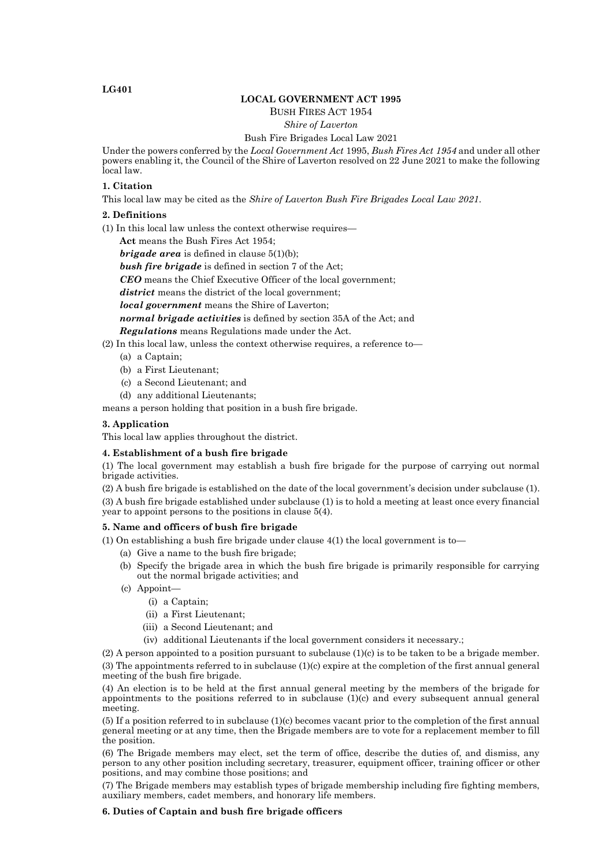## **LG401**

# **LOCAL GOVERNMENT ACT 1995**

## BUSH FIRES ACT 1954

## *Shire of Laverton*

#### Bush Fire Brigades Local Law 2021

Under the powers conferred by the *Local Government Act* 1995, *Bush Fires Act 1954* and under all other powers enabling it, the Council of the Shire of Laverton resolved on 22 June 2021 to make the following local law.

### **1. Citation**

This local law may be cited as the *Shire of Laverton Bush Fire Brigades Local Law 2021*.

### **2. Definitions**

(1) In this local law unless the context otherwise requires—

**Act** means the Bush Fires Act 1954;

*brigade area* is defined in clause 5(1)(b);

*bush fire brigade* is defined in section 7 of the Act;

*CEO* means the Chief Executive Officer of the local government;

*district* means the district of the local government;

*local government* means the Shire of Laverton;

*normal brigade activities* is defined by section 35A of the Act; and

*Regulations* means Regulations made under the Act.

- (2) In this local law, unless the context otherwise requires, a reference to—
- (a) a Captain;
	- (b) a First Lieutenant;
	- (c) a Second Lieutenant; and
	- (d) any additional Lieutenants;

means a person holding that position in a bush fire brigade.

### **3. Application**

This local law applies throughout the district.

## **4. Establishment of a bush fire brigade**

(1) The local government may establish a bush fire brigade for the purpose of carrying out normal brigade activities.

(2) A bush fire brigade is established on the date of the local government's decision under subclause (1). (3) A bush fire brigade established under subclause (1) is to hold a meeting at least once every financial year to appoint persons to the positions in clause 5(4).

#### **5. Name and officers of bush fire brigade**

(1) On establishing a bush fire brigade under clause  $4(1)$  the local government is to

- (a) Give a name to the bush fire brigade;
- (b) Specify the brigade area in which the bush fire brigade is primarily responsible for carrying out the normal brigade activities; and
- (c) Appoint—
	- (i) a Captain;
	- (ii) a First Lieutenant;
	- (iii) a Second Lieutenant; and
	- (iv) additional Lieutenants if the local government considers it necessary.;

(2) A person appointed to a position pursuant to subclause  $(1)(c)$  is to be taken to be a brigade member. (3) The appointments referred to in subclause (1)(c) expire at the completion of the first annual general meeting of the bush fire brigade.

(4) An election is to be held at the first annual general meeting by the members of the brigade for appointments to the positions referred to in subclause (1)(c) and every subsequent annual general meeting.

(5) If a position referred to in subclause (1)(c) becomes vacant prior to the completion of the first annual general meeting or at any time, then the Brigade members are to vote for a replacement member to fill the position.

(6) The Brigade members may elect, set the term of office, describe the duties of, and dismiss, any person to any other position including secretary, treasurer, equipment officer, training officer or other positions, and may combine those positions; and

(7) The Brigade members may establish types of brigade membership including fire fighting members, auxiliary members, cadet members, and honorary life members.

## **6. Duties of Captain and bush fire brigade officers**